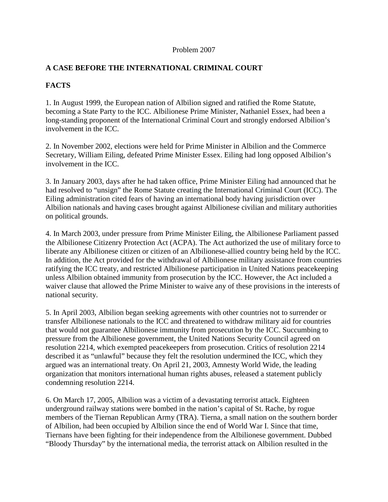#### Problem 2007

#### **A CASE BEFORE THE INTERNATIONAL CRIMINAL COURT**

# **FACTS**

1. In August 1999, the European nation of Albilion signed and ratified the Rome Statute, becoming a State Party to the ICC. Albilionese Prime Minister, Nathaniel Essex, had been a long-standing proponent of the International Criminal Court and strongly endorsed Albilion's involvement in the ICC.

2. In November 2002, elections were held for Prime Minister in Albilion and the Commerce Secretary, William Eiling, defeated Prime Minister Essex. Eiling had long opposed Albilion's involvement in the ICC.

3. In January 2003, days after he had taken office, Prime Minister Eiling had announced that he had resolved to "unsign" the Rome Statute creating the International Criminal Court (ICC). The Eiling administration cited fears of having an international body having jurisdiction over Albilion nationals and having cases brought against Albilionese civilian and military authorities on political grounds.

4. In March 2003, under pressure from Prime Minister Eiling, the Albilionese Parliament passed the Albilionese Citizenry Protection Act (ACPA). The Act authorized the use of military force to liberate any Albilionese citizen or citizen of an Albilionese-allied country being held by the ICC. In addition, the Act provided for the withdrawal of Albilionese military assistance from countries ratifying the ICC treaty, and restricted Albilionese participation in United Nations peacekeeping unless Albilion obtained immunity from prosecution by the ICC. However, the Act included a waiver clause that allowed the Prime Minister to waive any of these provisions in the interests of national security.

5. In April 2003, Albilion began seeking agreements with other countries not to surrender or transfer Albilionese nationals to the ICC and threatened to withdraw military aid for countries that would not guarantee Albilionese immunity from prosecution by the ICC. Succumbing to pressure from the Albilionese government, the United Nations Security Council agreed on resolution 2214, which exempted peacekeepers from prosecution. Critics of resolution 2214 described it as "unlawful" because they felt the resolution undermined the ICC, which they argued was an international treaty. On April 21, 2003, Amnesty World Wide, the leading organization that monitors international human rights abuses, released a statement publicly condemning resolution 2214.

6. On March 17, 2005, Albilion was a victim of a devastating terrorist attack. Eighteen underground railway stations were bombed in the nation's capital of St. Rache, by rogue members of the Tiernan Republican Army (TRA). Tierna, a small nation on the southern border of Albilion, had been occupied by Albilion since the end of World War I. Since that time, Tiernans have been fighting for their independence from the Albilionese government. Dubbed "Bloody Thursday" by the international media, the terrorist attack on Albilion resulted in the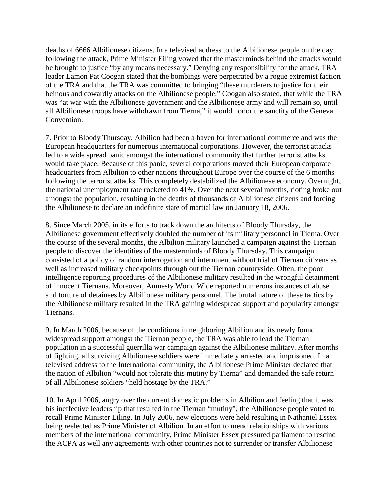deaths of 6666 Albilionese citizens. In a televised address to the Albilionese people on the day following the attack, Prime Minister Eiling vowed that the masterminds behind the attacks would be brought to justice "by any means necessary." Denying any responsibility for the attack, TRA leader Eamon Pat Coogan stated that the bombings were perpetrated by a rogue extremist faction of the TRA and that the TRA was committed to bringing "these murderers to justice for their heinous and cowardly attacks on the Albilionese people." Coogan also stated, that while the TRA was "at war with the Albilionese government and the Albilionese army and will remain so, until all Albilionese troops have withdrawn from Tierna," it would honor the sanctity of the Geneva Convention.

7. Prior to Bloody Thursday, Albilion had been a haven for international commerce and was the European headquarters for numerous international corporations. However, the terrorist attacks led to a wide spread panic amongst the international community that further terrorist attacks would take place. Because of this panic, several corporations moved their European corporate headquarters from Albilion to other nations throughout Europe over the course of the 6 months following the terrorist attacks. This completely destabilized the Albilionese economy. Overnight, the national unemployment rate rocketed to 41%. Over the next several months, rioting broke out amongst the population, resulting in the deaths of thousands of Albilionese citizens and forcing the Albilionese to declare an indefinite state of martial law on January 18, 2006.

8. Since March 2005, in its efforts to track down the architects of Bloody Thursday, the Albilionese government effectively doubled the number of its military personnel in Tierna. Over the course of the several months, the Albilion military launched a campaign against the Tiernan people to discover the identities of the masterminds of Bloody Thursday. This campaign consisted of a policy of random interrogation and internment without trial of Tiernan citizens as well as increased military checkpoints through out the Tiernan countryside. Often, the poor intelligence reporting procedures of the Albilionese military resulted in the wrongful detainment of innocent Tiernans. Moreover, Amnesty World Wide reported numerous instances of abuse and torture of detainees by Albilionese military personnel. The brutal nature of these tactics by the Albilionese military resulted in the TRA gaining widespread support and popularity amongst Tiernans.

9. In March 2006, because of the conditions in neighboring Albilion and its newly found widespread support amongst the Tiernan people, the TRA was able to lead the Tiernan population in a successful guerrilla war campaign against the Albilionese military. After months of fighting, all surviving Albilionese soldiers were immediately arrested and imprisoned. In a televised address to the International community, the Albilionese Prime Minister declared that the nation of Albilion "would not tolerate this mutiny by Tierna" and demanded the safe return of all Albilionese soldiers "held hostage by the TRA."

10. In April 2006, angry over the current domestic problems in Albilion and feeling that it was his ineffective leadership that resulted in the Tiernan "mutiny", the Albilionese people voted to recall Prime Minister Eiling. In July 2006, new elections were held resulting in Nathaniel Essex being reelected as Prime Minister of Albilion. In an effort to mend relationships with various members of the international community, Prime Minister Essex pressured parliament to rescind the ACPA as well any agreements with other countries not to surrender or transfer Albilionese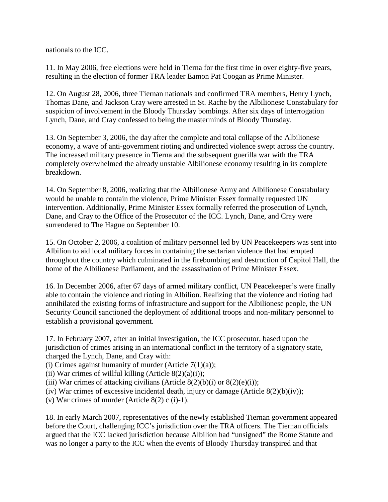nationals to the ICC.

11. In May 2006, free elections were held in Tierna for the first time in over eighty-five years, resulting in the election of former TRA leader Eamon Pat Coogan as Prime Minister.

12. On August 28, 2006, three Tiernan nationals and confirmed TRA members, Henry Lynch, Thomas Dane, and Jackson Cray were arrested in St. Rache by the Albilionese Constabulary for suspicion of involvement in the Bloody Thursday bombings. After six days of interrogation Lynch, Dane, and Cray confessed to being the masterminds of Bloody Thursday.

13. On September 3, 2006, the day after the complete and total collapse of the Albilionese economy, a wave of anti-government rioting and undirected violence swept across the country. The increased military presence in Tierna and the subsequent guerilla war with the TRA completely overwhelmed the already unstable Albilionese economy resulting in its complete breakdown.

14. On September 8, 2006, realizing that the Albilionese Army and Albilionese Constabulary would be unable to contain the violence, Prime Minister Essex formally requested UN intervention. Additionally, Prime Minister Essex formally referred the prosecution of Lynch, Dane, and Cray to the Office of the Prosecutor of the ICC. Lynch, Dane, and Cray were surrendered to The Hague on September 10.

15. On October 2, 2006, a coalition of military personnel led by UN Peacekeepers was sent into Albilion to aid local military forces in containing the sectarian violence that had erupted throughout the country which culminated in the firebombing and destruction of Capitol Hall, the home of the Albilionese Parliament, and the assassination of Prime Minister Essex.

16. In December 2006, after 67 days of armed military conflict, UN Peacekeeper's were finally able to contain the violence and rioting in Albilion. Realizing that the violence and rioting had annihilated the existing forms of infrastructure and support for the Albilionese people, the UN Security Council sanctioned the deployment of additional troops and non-military personnel to establish a provisional government.

17. In February 2007, after an initial investigation, the ICC prosecutor, based upon the jurisdiction of crimes arising in an international conflict in the territory of a signatory state, charged the Lynch, Dane, and Cray with:

- (i) Crimes against humanity of murder (Article  $7(1)(a)$ );
- (ii) War crimes of willful killing (Article  $8(2)(a)(i)$ );
- (iii) War crimes of attacking civilians (Article  $8(2)(b)(i)$  or  $8(2)(e)(i)$ );
- (iv) War crimes of excessive incidental death, injury or damage (Article  $8(2)(b)(iv)$ );
- (v) War crimes of murder (Article  $8(2)$  c (i)-1).

18. In early March 2007, representatives of the newly established Tiernan government appeared before the Court, challenging ICC's jurisdiction over the TRA officers. The Tiernan officials argued that the ICC lacked jurisdiction because Albilion had "unsigned" the Rome Statute and was no longer a party to the ICC when the events of Bloody Thursday transpired and that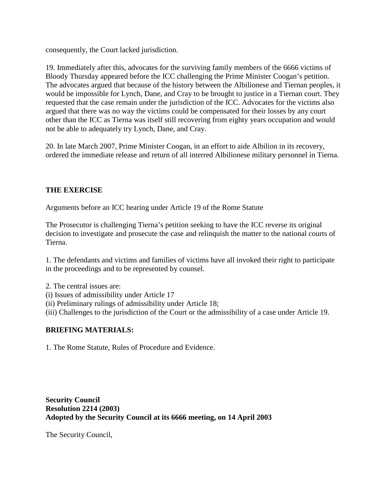consequently, the Court lacked jurisdiction.

19. Immediately after this, advocates for the surviving family members of the 6666 victims of Bloody Thursday appeared before the ICC challenging the Prime Minister Coogan's petition. The advocates argued that because of the history between the Albilionese and Tiernan peoples, it would be impossible for Lynch, Dane, and Cray to be brought to justice in a Tiernan court. They requested that the case remain under the jurisdiction of the ICC. Advocates for the victims also argued that there was no way the victims could be compensated for their losses by any court other than the ICC as Tierna was itself still recovering from eighty years occupation and would not be able to adequately try Lynch, Dane, and Cray.

20. In late March 2007, Prime Minister Coogan, in an effort to aide Albilion in its recovery, ordered the immediate release and return of all interred Albilionese military personnel in Tierna.

# **THE EXERCISE**

Arguments before an ICC hearing under Article 19 of the Rome Statute

The Prosecutor is challenging Tierna's petition seeking to have the ICC reverse its original decision to investigate and prosecute the case and relinquish the matter to the national courts of Tierna.

1. The defendants and victims and families of victims have all invoked their right to participate in the proceedings and to be represented by counsel.

- 2. The central issues are:
- (i) Issues of admissibility under Article 17
- (ii) Preliminary rulings of admissibility under Article 18;
- (iii) Challenges to the jurisdiction of the Court or the admissibility of a case under Article 19.

#### **BRIEFING MATERIALS:**

1. The Rome Statute, Rules of Procedure and Evidence.

**Security Council Resolution 2214 (2003) Adopted by the Security Council at its 6666 meeting, on 14 April 2003**

The Security Council,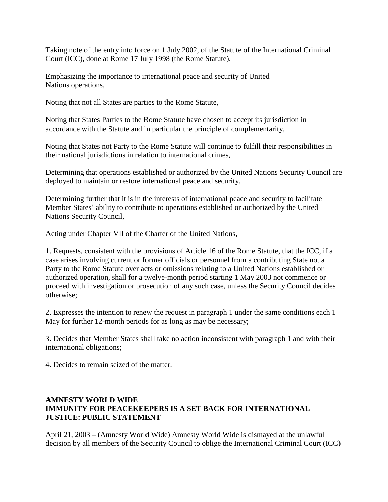Taking note of the entry into force on 1 July 2002, of the Statute of the International Criminal Court (ICC), done at Rome 17 July 1998 (the Rome Statute),

Emphasizing the importance to international peace and security of United Nations operations,

Noting that not all States are parties to the Rome Statute,

Noting that States Parties to the Rome Statute have chosen to accept its jurisdiction in accordance with the Statute and in particular the principle of complementarity,

Noting that States not Party to the Rome Statute will continue to fulfill their responsibilities in their national jurisdictions in relation to international crimes,

Determining that operations established or authorized by the United Nations Security Council are deployed to maintain or restore international peace and security,

Determining further that it is in the interests of international peace and security to facilitate Member States' ability to contribute to operations established or authorized by the United Nations Security Council,

Acting under Chapter VII of the Charter of the United Nations,

1. Requests, consistent with the provisions of Article 16 of the Rome Statute, that the ICC, if a case arises involving current or former officials or personnel from a contributing State not a Party to the Rome Statute over acts or omissions relating to a United Nations established or authorized operation, shall for a twelve-month period starting 1 May 2003 not commence or proceed with investigation or prosecution of any such case, unless the Security Council decides otherwise;

2. Expresses the intention to renew the request in paragraph 1 under the same conditions each 1 May for further 12-month periods for as long as may be necessary:

3. Decides that Member States shall take no action inconsistent with paragraph 1 and with their international obligations;

4. Decides to remain seized of the matter.

# **AMNESTY WORLD WIDE IMMUNITY FOR PEACEKEEPERS IS A SET BACK FOR INTERNATIONAL JUSTICE: PUBLIC STATEMENT**

April 21, 2003 – (Amnesty World Wide) Amnesty World Wide is dismayed at the unlawful decision by all members of the Security Council to oblige the International Criminal Court (ICC)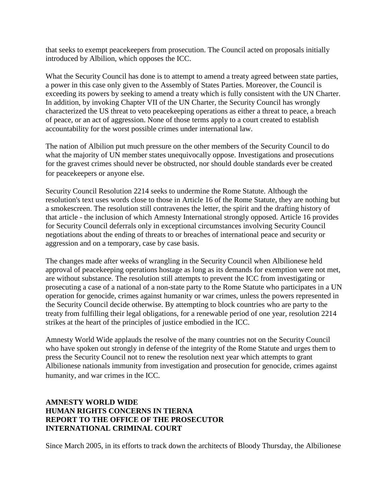that seeks to exempt peacekeepers from prosecution. The Council acted on proposals initially introduced by Albilion, which opposes the ICC.

What the Security Council has done is to attempt to amend a treaty agreed between state parties, a power in this case only given to the Assembly of States Parties. Moreover, the Council is exceeding its powers by seeking to amend a treaty which is fully consistent with the UN Charter. In addition, by invoking Chapter VII of the UN Charter, the Security Council has wrongly characterized the US threat to veto peacekeeping operations as either a threat to peace, a breach of peace, or an act of aggression. None of those terms apply to a court created to establish accountability for the worst possible crimes under international law.

The nation of Albilion put much pressure on the other members of the Security Council to do what the majority of UN member states unequivocally oppose. Investigations and prosecutions for the gravest crimes should never be obstructed, nor should double standards ever be created for peacekeepers or anyone else.

Security Council Resolution 2214 seeks to undermine the Rome Statute. Although the resolution's text uses words close to those in Article 16 of the Rome Statute, they are nothing but a smokescreen. The resolution still contravenes the letter, the spirit and the drafting history of that article - the inclusion of which Amnesty International strongly opposed. Article 16 provides for Security Council deferrals only in exceptional circumstances involving Security Council negotiations about the ending of threats to or breaches of international peace and security or aggression and on a temporary, case by case basis.

The changes made after weeks of wrangling in the Security Council when Albilionese held approval of peacekeeping operations hostage as long as its demands for exemption were not met, are without substance. The resolution still attempts to prevent the ICC from investigating or prosecuting a case of a national of a non-state party to the Rome Statute who participates in a UN operation for genocide, crimes against humanity or war crimes, unless the powers represented in the Security Council decide otherwise. By attempting to block countries who are party to the treaty from fulfilling their legal obligations, for a renewable period of one year, resolution 2214 strikes at the heart of the principles of justice embodied in the ICC.

Amnesty World Wide applauds the resolve of the many countries not on the Security Council who have spoken out strongly in defense of the integrity of the Rome Statute and urges them to press the Security Council not to renew the resolution next year which attempts to grant Albilionese nationals immunity from investigation and prosecution for genocide, crimes against humanity, and war crimes in the ICC.

# **AMNESTY WORLD WIDE HUMAN RIGHTS CONCERNS IN TIERNA REPORT TO THE OFFICE OF THE PROSECUTOR INTERNATIONAL CRIMINAL COURT**

Since March 2005, in its efforts to track down the architects of Bloody Thursday, the Albilionese